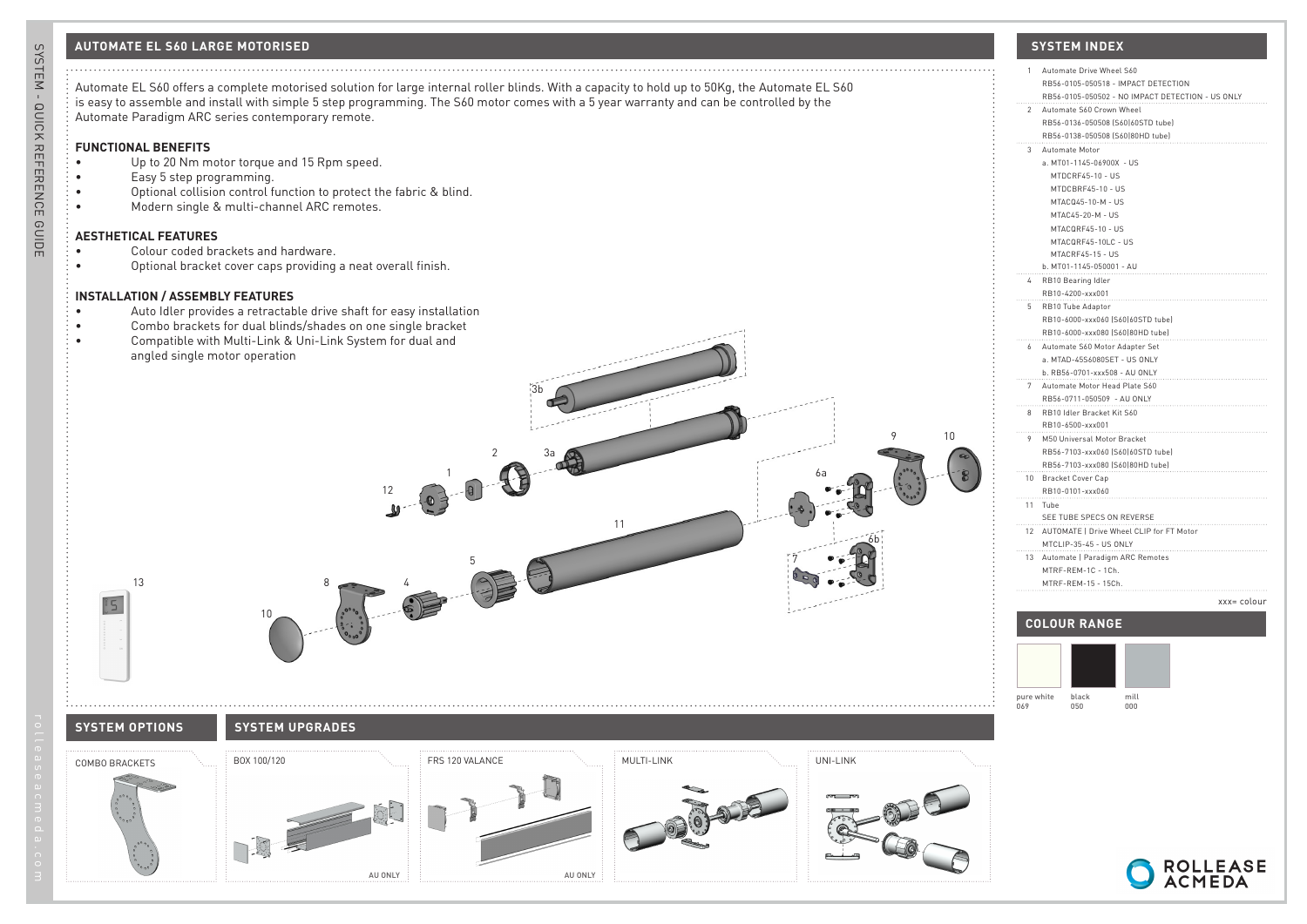# **AUTOMATE EL S60 LARGE MOTORISED SYSTEM INDEX**



## **FUNCTIONAL BENEFITS**

- Up to 20 Nm motor torque and 15 Rpm speed.
- Easy 5 step programming.
- Optional collision control function to protect the fabric & blind.
- Modern single & multi-channel ARC remotes.

## **AESTHETICAL FEATURES**

• Colour coded brackets and hardware.

angled single motor operation

• Optional bracket cover caps providing a neat overall finish.

### **INSTALLATION / ASSEMBLY FEATURES**

- Auto Idler provides a retractable drive shaft for easy installation
- Combo brackets for dual blinds/shades on one single bracket
- Compatible with Multi-Link & Uni-Link System for dual and

# **SYSTEM OPTIONS SYSTEM OPTIONS SYSTEM UPGRADES**

10



13



8

12

4



3a

3b

11

2

5

1



6a

 $10$ 

9

6b

7

| 1               | Automate Drive Wheel S60                         |
|-----------------|--------------------------------------------------|
|                 | RB56-0105-050518 - IMPACT DETECTION              |
|                 | RB56-0105-050502 - NO IMPACT DETECTION - US ONLY |
| $\overline{2}$  | Automate S60 Crown Wheel                         |
|                 | RB56-0136-050508 [S60]60STD tube]                |
|                 | RB56-0138-050508 (S60)80HD tube)                 |
| 3               | Automate Motor                                   |
|                 | a. MT01-1145-06900X - US                         |
|                 | MTDCRF45-10 - US                                 |
|                 | MTDCBRF45-10 - US                                |
|                 | MTACQ45-10-M - US                                |
|                 |                                                  |
|                 | MTAC45-20-M - US                                 |
|                 | MTACQRF45-10 - US                                |
|                 | MTACQRF45-10LC - US                              |
|                 | MTACRF45-15 - US                                 |
|                 | b. MT01-1145-050001 - AU                         |
| 4               | RB10 Bearing Idler                               |
|                 | RB10-4200-xxx001                                 |
| 5               | RB10 Tube Adaptor                                |
|                 | RB10-6000-xxx060 [S60]60STD tube]                |
|                 | RB10-6000-xxx080 (S60180HD tube)                 |
| 6               | Automate S60 Motor Adapter Set                   |
|                 | a. MTAD-45S6080SET - US ONLY                     |
|                 | b. RB56-0701-xxx508 - AU ONLY                    |
| 7               | Automate Motor Head Plate S60                    |
|                 | RB56-0711-050509 - AU ONLY                       |
| 8               | RB10 Idler Bracket Kit S60                       |
|                 | RB10-6500-xxx001                                 |
| 9               | M50 Universal Motor Bracket                      |
|                 | RB56-7103-xxx060 [S60]60STD tube]                |
|                 | RB56-7103-xxx080 (S60 80HD tube)                 |
| 10 <sup>°</sup> | Bracket Cover Cap                                |
|                 | RB10-0101-xxx060                                 |
| 11              | Tube                                             |
|                 | SEE TUBE SPECS ON REVERSE                        |
|                 | 12 AUTOMATE   Drive Wheel CLIP for FT Motor      |
|                 | MTCLIP-35-45 - US ONLY                           |
| 13              | Automate   Paradigm ARC Remotes                  |
|                 | MTRF-REM-1C - 1Ch.                               |
|                 | MTRF-REM-15 - 15Ch.                              |
|                 |                                                  |
|                 | xxx= colour                                      |
|                 |                                                  |
|                 | <b>COLOUR RANGE</b>                              |
|                 |                                                  |
|                 |                                                  |